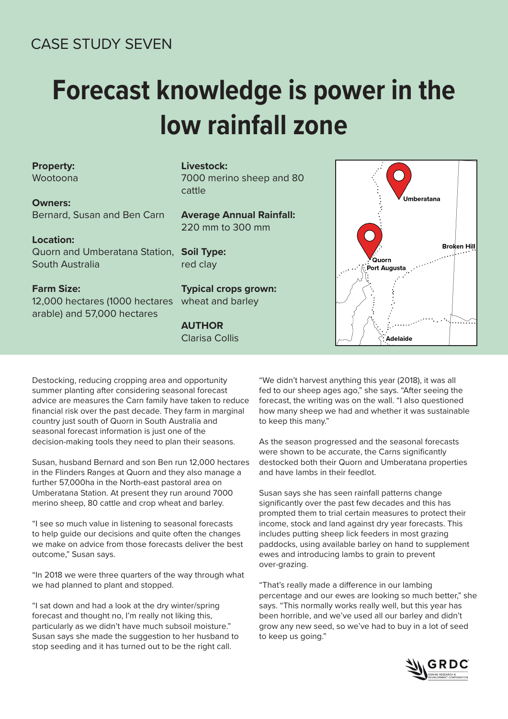## CASE STUDY SEVEN

# **Forecast knowledge is power in the low rainfall zone**

### **Property:**

Wootoona

**Owners:**  Bernard, Susan and Ben Carn

#### **Location:**

Quorn and Umberatana Station, **Soil Type:** South Australia

#### **Farm Size:**

12,000 hectares (1000 hectares arable) and 57,000 hectares

#### **Livestock:**

7000 merino sheep and 80 cattle

**Average Annual Rainfall:**  220 mm to 300 mm

red clay

**Typical crops grown:**  wheat and barley

## **AUTHOR**

Clarisa Collis



Destocking, reducing cropping area and opportunity summer planting after considering seasonal forecast advice are measures the Carn family have taken to reduce financial risk over the past decade. They farm in marginal country just south of Quorn in South Australia and seasonal forecast information is just one of the decision-making tools they need to plan their seasons.

Susan, husband Bernard and son Ben run 12,000 hectares in the Flinders Ranges at Quorn and they also manage a further 57,000ha in the North-east pastoral area on Umberatana Station. At present they run around 7000 merino sheep, 80 cattle and crop wheat and barley.

"I see so much value in listening to seasonal forecasts to help guide our decisions and quite often the changes we make on advice from those forecasts deliver the best outcome," Susan says.

"In 2018 we were three quarters of the way through what we had planned to plant and stopped.

"I sat down and had a look at the dry winter/spring forecast and thought no, I'm really not liking this, particularly as we didn't have much subsoil moisture." Susan says she made the suggestion to her husband to stop seeding and it has turned out to be the right call.

"We didn't harvest anything this year (2018), it was all fed to our sheep ages ago," she says. "After seeing the forecast, the writing was on the wall. "I also questioned how many sheep we had and whether it was sustainable to keep this many."

As the season progressed and the seasonal forecasts were shown to be accurate, the Carns significantly destocked both their Quorn and Umberatana properties and have lambs in their feedlot.

Susan says she has seen rainfall patterns change significantly over the past few decades and this has prompted them to trial certain measures to protect their income, stock and land against dry year forecasts. This includes putting sheep lick feeders in most grazing paddocks, using available barley on hand to supplement ewes and introducing lambs to grain to prevent over-grazing.

"That's really made a difference in our lambing percentage and our ewes are looking so much better," she says. "This normally works really well, but this year has been horrible, and we've used all our barley and didn't grow any new seed, so we've had to buy in a lot of seed to keep us going."